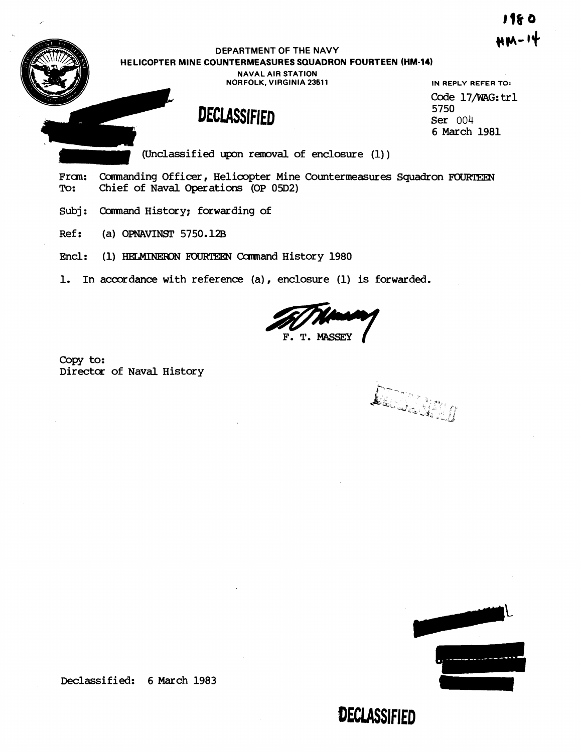I 1& O мм-14

### **DEPARTMENT OF THE NAVY HELICOPTER MINE COUNTERMEASURES SQUADRON FOURTEEN (HM-14)**

**NAVAL AIR STATION NORFOLK, VIRGINIA 23611** 

## **DECLASSIFIED**

**IN REPLY REFER TO: Code** 17mG:trl 5750 **Ser** 004 6 March 1981

(Unclassified upon removal of enclosure  $(1)$ )

From: Commanding Officer, Helicopter Mine Countermeasures Squadron FOURTEEN<br>To: Chief of Naval Operations (OP 05D2) Chief of Naval Operations (OP 05D2)

Subj: Command History; forwarding of

Ref: (a) OPNAVINST 5750.12B

Encl: (1) HELMINERON FOURTEEN Command History 1980

1. In accordance with reference (a), enclosure (1) is forwarded.

F. T. MASSEY

copy **to:**  Director of Naval History

Declared

**DECLASSIFIED** 



Declassified: 6 March 1983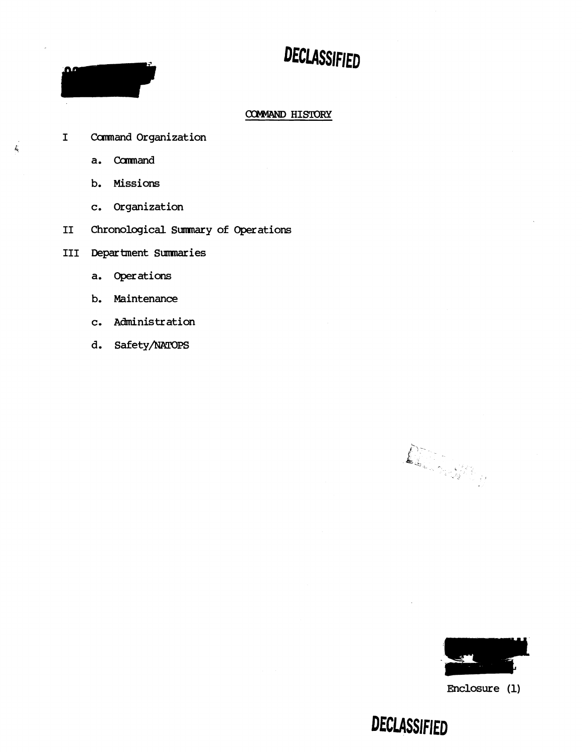# DECLASSIFIED

### COMMAND HISTORY

- **I Cumand Organization** 
	- **a.** Carmand

ΩØ

 $\frac{1}{2}$ 

- **b. Missions**
- **c. Organization**
- **I1 Chronological Sumnary of Operations**

**I11 Department Sumaries** 

- **a. Operations**
- **b. Maintenance**
- **c. Administration**
- d. Safety/NATOPS

De Ster



**Enclosure (1)** 

DECLASSIFIED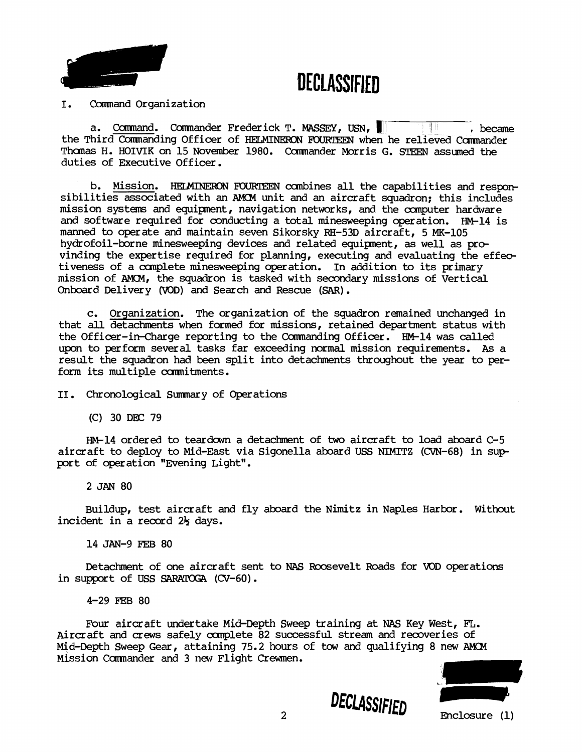DECLASSIFIED



#### I. Command Organization

a. Comnand. Cmander Frederick T. **MASSEY,** USN, 17, became the Third Commanding Officer of HELMINERON FOURTEEN when he relieved Commander Thomas H. HOIVIK on 15 November 1980. Commander Morris G. STEEN assumed the duties of Executive Officer.

b. Mission. HELMINERON FOURTEEN combines all the capabilities and responsibilities associated with an AMCM unit and an aircraft squadron; this includes mission systems and equipment, navigation networks, and the computer hardware and software required for conducting a total minesweeping operation. HM-14 is manned to operate and maintain seven Sikorsky RH-53D aircraft, 5 MK-105 hydrofoil-borne minesweeping devices and related equipnent, as well as pre vinding the expertise required for planning, executing and evaluating the effectiveness of a canplete minesweeping operation. In addition to its primary mission of AEICM, the squadron is tasked with secondary missions of Vertical Onboard Delivery (VOD) and Search **an6** Rescue **(SAR)** .

c. Orqanization. The organization of the squadron remained unchanged in that all detachments when formed for missions, retained department status with the Officer-in-Charge reporting to the Commanding Officer. HM-14 was called upon to perform several tasks far exceeding **normal** mission requirements. **As** a result the squadron had been split into detachments throughout the year to perform its multiple commitments.

11. Chronological Sumnary of Operations

(C) 30 DEX: 79

-14 ordered to teardown a detachment of two aircraft to load aboard C-5 aircraft to deploy to Mid-East via Sigonella aboard USS NIMITZ (CVN-68) in sup port of operation "Evening Light".

2 **JAN** 80

Buildup, test aircraft and fly aboard the Nimitz in Naples Harbor. Without incident in a record 2<sup>1</sup>/<sub>2</sub> days.

14 JAN-9 FEB 80

Detachment of one aircraft sent to **NAS** Roosevelt Roads for VDD operations in support of USS SARATOGA (CV-60).

4-29 **FEB** 80

Four aircraft **undertake** Mid-Depth **Sweep** training at **NAS** Key **West, FL.**  Aircraft and crews safely complete 82 successful stream and recoveries of Mid-Depth Sweep **Gear,** attaining 75.2 hours of taw **and** qualifying 8 new AMM Mission Commander and 3 new Flight Crewmen.



DECLASSIFIED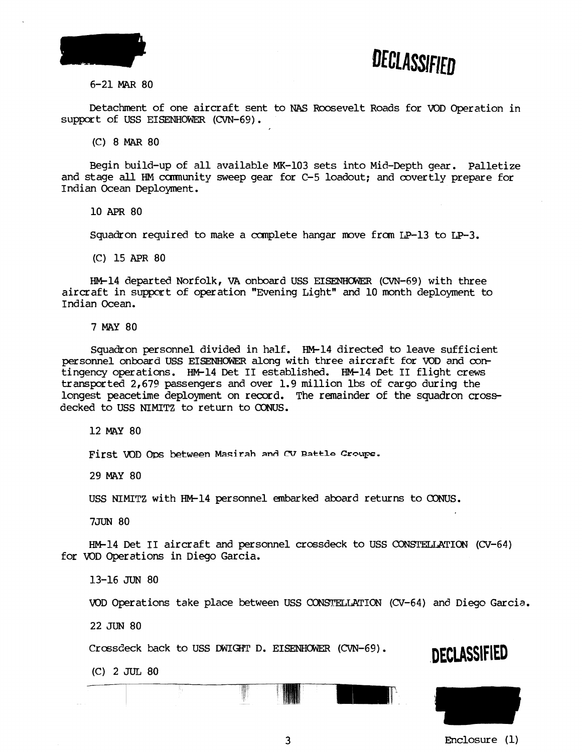



6-21 MAR 80

Detachment of one aircraft sent to **NAS** Roosevelt Roads for VOD Operation in support of USS **EISENHOWES** (CVN-69).

(C) 8 **MAR** 80

Begin build-up of all available MK-103 sets into Mid-Depth gear. Palletize and stage all HM cumunity sweep gear for C-5 loadout; and covertly prepare for Indian Ocean Deployment.

10 APR 80

Squadron required to make a complete hangar move from  $LP-13$  to  $LP-3$ .

(C) 15 **APR** 80

HM-14 departed Norfolk, VA onboard USS EISENHOWER (CVN-69) with three aircraft in support of operation "Evening Light" and 10 month deployment to Indian Ocean.

**7 MAY** 80

Squadron personnel divided in half. HM-14 directed to leave sufficient personnel onboard USS EISENHOWER along with three aircraft for VOD and contingency operations. HM-14 Det II established. HM-14 Det II flight crews transported 2,679 passengers and over 1.9 million lbs of cargo during the longest peacetime deployment on record. The remainder of the squadron crossdecked to USS NIMITZ to return to CONUS.

12 MAY 80

First VOD Ops between Masirah and CV Battle Croups.

**29 MAY** 80

USS NIMITZ with W14 personnel ernbarked aboard returns to **CONUS.** 

7JUN 80

HM-14 Det II aircraft and personnel crossdeck to USS CONSTELLATION (CV-64) for KID Operations in **Diego** Garcia.

13-16 JUN 80

VOD Operations take place between USS CONSTELLATION (CV-64) and Diego Garcia.

**22** JUN 80

Crassdeck back to USS DWIGHT D. EISENHWEZ **(CVN-69). DECLASSIFIED** 

**(C) 2** JUL 80



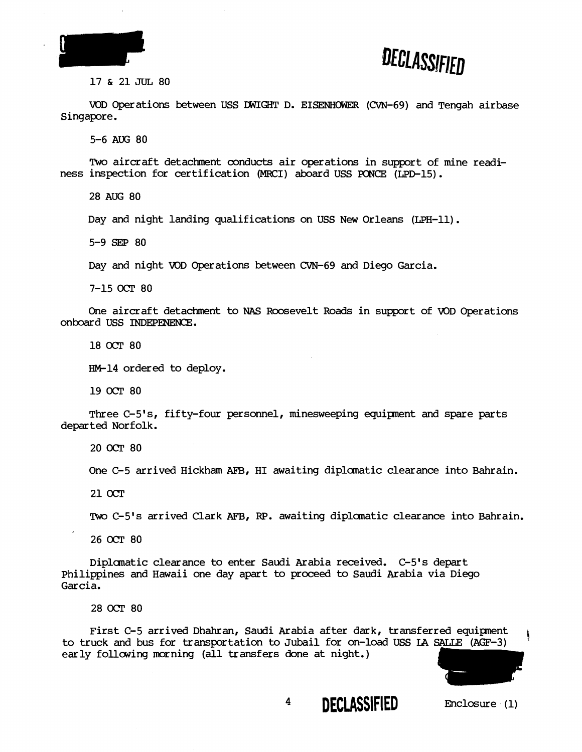



#### 17 & 21 JUL 80

VOD Operations between USS DWIGHT D. EISENHOWER (CVN-69) and Tengah airbase Singapore.

5-6 **AUG** 80

Two aircraft detachment conducts air operations in support of mine readiness inspection for certification (MWJI) aboard USS **PONCE** (LPD-15).

28 AUG 80

Day and night landing qualifications on USS New Orleans (LPH-11).

5-9 SEP 80

Day and night WD Operations between CVN-69 and Diego Garcia.

7-15 OCT 80

One aircraft detachment to **NAS** Roosevelt Roads in support of WD Operations onboard USS INDEPENENCE.

18 OCT 80

HM-14 ordered to deploy.

19 *OCT* 80

Three C-5's, fifty-four personnel, minesweeping equipnent and spare parts departed Norfolk.

20 OCT 80

One C-5 arrived Hickham AFB, HI awaiting diplomatic clearance into Bahrain.

21 OCT

Two C-5's arrived Clark AFB, RP. awaiting diplomatic clearance into Bahrain.

26 OCT 80

Diplanatic clearance to enter Saudi Arabia received. C-5's depart philippines and Hawaii one day apart to proceed to Saudi Arabia via Diego Garcia.

28 OCT 80

First C-5 arrived Dhahran, Saudi Arabia after dark, transferred equipment First C-5 arrived Dhahran, Saudi Arabia after dark, transferred equipment<br>to truck and bus for transportation to Jubail for on-load USS IA SALLE (AGF-3)<br>early following morning (all transfers done at night.)

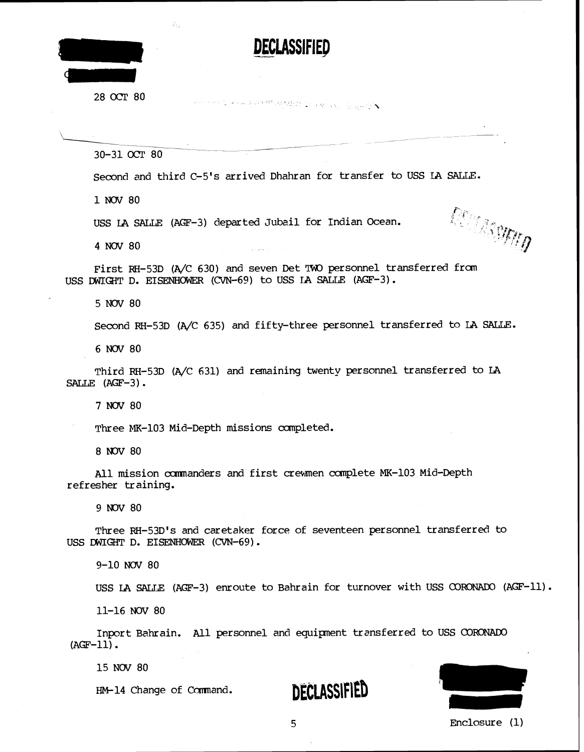

28 OCT 80

30-31 OCT 80

Second and third C-5's arrived Dhahran for transfer to USS LA SALLE.

**All the Construction of the Construction of the Construction** 

**DECLASSIFIED** 

1 NOV 80

USS LA SALLE (AGF-3) departed Jubail for Indian Ocean.

4 NOV 80

First RH-53D (A/C 630) and seven Det TWO personnel transferred from USS DWIGHT D. EISENHOWER (CVN-69) to USS IA SALLE (AGF-3).

5 NOV 80

Second RH-53D (A/C 635) and fifty-three personnel transferred to LA SALLE.

6 NOV 80

Third RH-53D (A/C 631) and remaining twenty personnel transferred to LA SALLE  $(AGF-3)$ .

7 NOV 80

Three MK-103 Mid-Depth missions completed.

8 NOV 80

All mission ccmnanders and first crewmen complete MK-103 Mid-Depth refresher training.

9 NOV 80

Three RH-53D's and caretaker force of seventeen personnel transferred to USS DWIGHT D. EISENHOWER (CVN-69) .

9-10 *NaV* 80

USS LA SALLE (AGF-3) enroute to Bahrain for turnover with USS CORONADO (AGF-11).

11-16 **NOV** 80

Inport Bahrain. All personnel and equipment transferred to USS CORONADO  $(ACF-11)$ .

15 NOV 80

HM-14 Change of Command.

DECLASSIFIED



**DECIMENTS**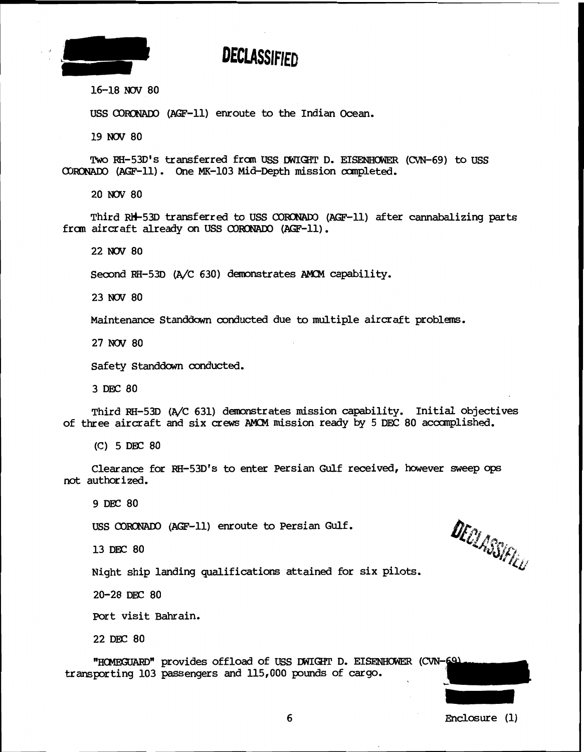

## **DECLASSIFIED**

16-18 NOV 80

USS CORONADO (AGF-11) enroute to the Indian Ocean.

19 NOV 80

Two RH-53D's transferred from USS DWIGHT D. EISENHOWER (CVN-69) to USS 03- (Am-11) . One MK-103 Mid-Depth mission ccmpleted.

20 NOV 80

~hird w53~ transferred **to** USS **COWSNADO** (A@-11) after cannabalizing parts from aircraft already on USS CORONADO (AGF-11).

22 *NOV* 80

Second RH-53D (A/C 630) demonstrates AMCM capability.

23 NOV 80

Maintenance Standdawn conducted due to multiple aircraft problems.

27 *NOV* 80

Safety Standdawn conducted.

3 DEC 80

Third RH-53D (A/C 631) demonstrates mission capability. Initial objectives of three aircraft and six crews AMCM mission ready by 5 DEC 80 accomplished.

(C) 5 DEC 80

Clearance for HH-53D1s to enter Persian Gulf received, however sweep **ops not** authorized.

9 DEC 80

USS CORONADO (AGF-11) enroute to Persian Gulf.

13 DEC 80

DECLASSIFIÉL

Night ship landing qualifications attained for six pilots.

20-28 DEC 80

Port visit Bahrain.

22 DEC 80

"HOMEGUARD" provides offload of USS DWIGHT D. EISENHOWER (CVN-69) transporting 103 passengers and 115,000 pounds of **cargo.**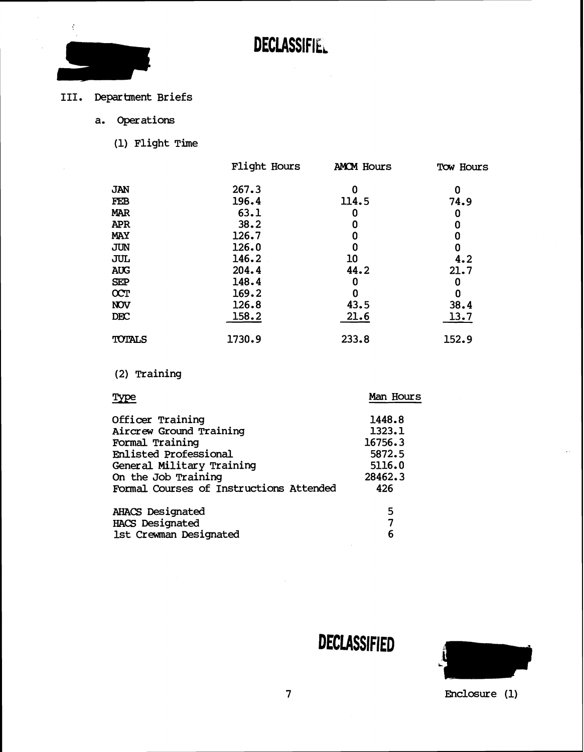

## **111.** Department Briefs

- **a. Operations** 
	- **(1) Flight The**

|               | Flight Hours | <b>AMOM Hours</b> | Tow Hours |
|---------------|--------------|-------------------|-----------|
| JAN           | 267.3        | 0                 | 0         |
| FEB           | 196.4        | 114.5             | 74.9      |
| <b>MAR</b>    | 63.1         |                   | 0         |
| <b>APR</b>    | 38.2         | 0                 | 0         |
| <b>MAY</b>    | 126.7        | 0                 | 0         |
| <b>JUN</b>    | 126.0        |                   | 0         |
| JUL           | 146.2        | 10                | 4.2       |
| <b>AUG</b>    | 204.4        | 44.2              | 21.7      |
| <b>SEP</b>    | 148.4        | 0                 | 0         |
| <b>OCT</b>    | 169.2        | 0                 | 0         |
| <b>NOV</b>    | 126.8        | 43.5              | 38.4      |
| <b>DEC</b>    | 158.2        | 21.6              | 13.7      |
| <b>TOTALS</b> | 1730.9       | 233.8             | 152.9     |

## (2) Training

| Type                                    | Man Hours |
|-----------------------------------------|-----------|
| Officer Training                        | 1448.8    |
| Aircrew Ground Training                 | 1323.1    |
| Formal Training                         | 16756.3   |
| <b>Enlisted Professional</b>            | 5872.5    |
| General Military Training               | 5116.0    |
| On the Job Training                     | 28462.3   |
| Formal Courses of Instructions Attended | 426       |
| <b>AHACS Designated</b>                 | 5         |
| <b>HACS Designated</b>                  | 7         |
| 1st Crewman Designated                  | 6         |

DECLASSIFIED

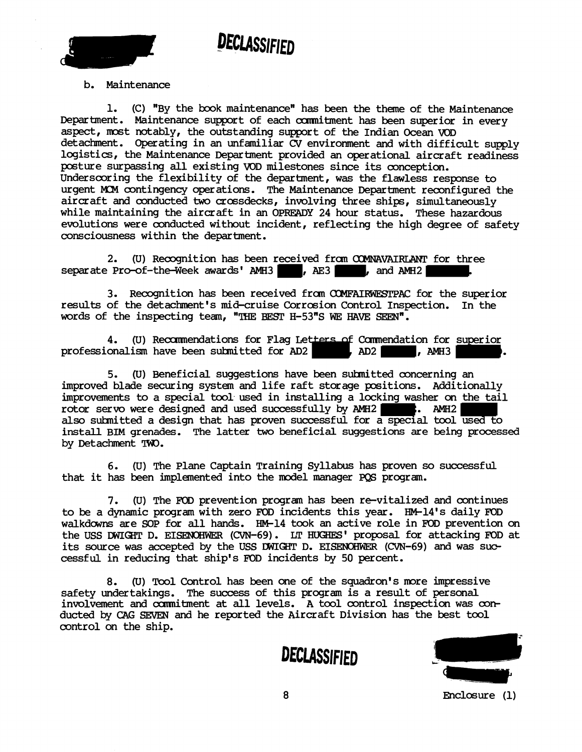

## DECLASSIFIFD

b. Maintenance

1. (C) "By the book maintenance" has been the theme of the Maintenance Department. Maintenance support of each cunnitment has been superior in every aspect, most notably, the outstanding support of the Indian Ocean **VOD**  detachment. Operating in an unfamiliar **CV** environment and with difficult supply logistics, the Maintenance Department provided an operational aircraft readiness posture surpassing all existing VOD milestones since its conception. Underscoring the flexibility of the department, was the flawless response to urgent MCM contingency operations. The Maintenance Department reconfigured the aircraft and conducted two crossdecks, involving three ships, simultaneously while maintaining the aircraft in an **OPREADY** 24 hour status. These hazardous evolutions were conducted without incident, reflecting the high degree of safety consciousness within the department.

2. (U) Recognition has been received from COMNAVAIRLANT for three Pro-of-the-Week awards' AMH3 separate Pro-of-the-Week awards' AMH3

3. Recognition has been received from COMFAIRWESTPAC for the superior results of the detachment's mid-cruise Corrosion Control Inspection. In the words of the inspecting team, "THE BEST H-53"S WE HAVE SEEN".

**4.** (U) Recommendations for Flag Letters of Comm<u>endati</u>on for <u>superior</u> words or the inspecting team, "THE BEST H-53"S WE HAVE SEEN".<br>4. (U) Recommendations for Flag Letters of Commendation for superior<br>professionalism have been submitted for AD2 , AD2 , AMH3

5. (U) Beneficial suggestions have been suhnitted concerning an improved blade securing system and life raft storage positions. Additionally improvements to a special tool used in installing a locking washer on the tail rotor servo were designed and used successfully by AMH2 **.** AMH2 also suhnitted a design that has proven successful for a special tool used to install BIM grenades. The latter two beneficial suggestions are being processed by Detachment TW.

6. (U) The Plane Captain Training Syllabus has proven so successful that it has been implemented into the model manager **PQS** program.

**7.** (U) The **FOD** prevention program has been re-vitalized and continues to be a dynamic program with zero FOD incidents this year. HM-14's daily FOD walkdowns are SOP for all hands. HM-14 took an active role in FOD prevention on the USS DWIGHT D. EISENOHWER (CVN-69). LT HUGHES' proposal for attacking FOD at its source was accepted by the USS DWIGHT D. EISENOHWER (CVN-69) and was successful in reducing that ship's **FOD** incidents by 50 percent.

8. (U) Tool Control has been one of the squadron's more impressive safety undertakings. The success of this program is a result of personal involvement and cunnitment at all levels. A tool control inspection was conducted by CAG SEVEN and he reported the Aircraft Division has the best tool control on the ship.



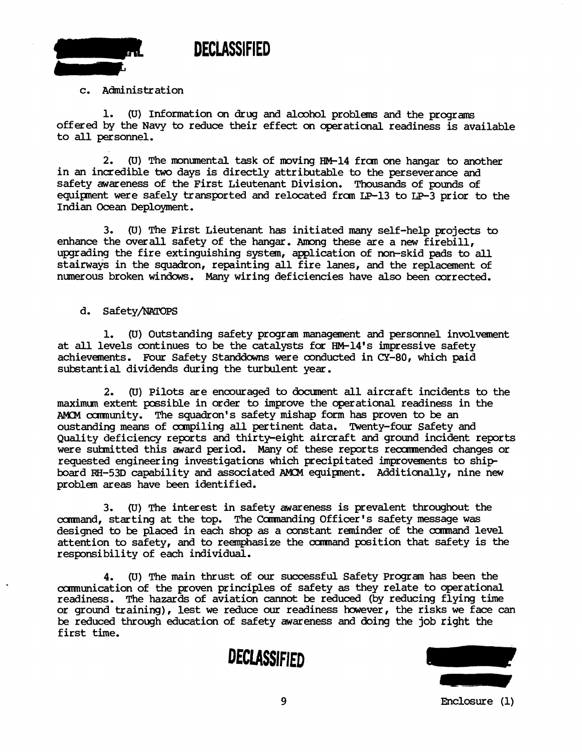

#### c. Administration

1. (U) Information on drug and alcohol problems and the programs offered by the Navy to reduce their effect on operational readiness is available to all personnel.

**2.** (U) The monumental task of moving HM-14 £ran one hangar to another in an incredible two days is directly attributable to the perseverance and safety awareness of the First Lieutenant Division. Thousands of pounds of equipment were safely transported and relocated from LP-13 to LP-3 prior to the Indian Ocean Deployment.

3. (U) The First Lieutenant has initiated many self-help projects to enhance the overall safety of the hangar. Among these are a new firebill, upgrading the fire extinguishing system, application of non-skid pads to all stairways in the squadron, repainting all fire lanes, and the replacement of numerous broken windows. Many wiring deficiencies have also been corrected.

d. Safety/NATOPS

1. (U) Outstanding safety progran management and personnel involvement at all levels continues to be the catalysts for HM-14's impressive safety achievements. Four Safety Standdowns were conducted in CY-80, which paid substantial dividends during the turbulent year.

2. (U) Pilots are encouraged to document all aircraft incidents to the maximum extent possible in order to improve the operational readiness in the AMOM community. The squadron's safety mishap form has proven to be an oustanding means of compiling all pertinent data. Twenty-four Safety and Quality deficiency reports and thirty-eight aircraft and ground incident reports were suhnitted this award period. Many of these reports recxmended changes or requested engineering investigations which precipitated improvements to ship board RH-53D capability and associated AKM equipnent. Additionally, nine new problem areas have been identified.

**3.** (U) The interest in safety awareness is prevalent throughout the command, starting at the top. The Commanding Officer's safety message was designed to be placed in each shop as a constant reminder of the command level attention to safety, and to reemphasize the cxmnand position that safety is the responsibility of each individual.

**4.** (U) The main thrust of our successful Safety Program has been the munication of the proven principles of safety as they relate to operational. readiness. The hazards of aviation cannot be reduced (by reducing flying time or ground training), lest we reduce our readiness hawever, the risks we face can be reduced through education of safety awareness and doing the job right the first time.